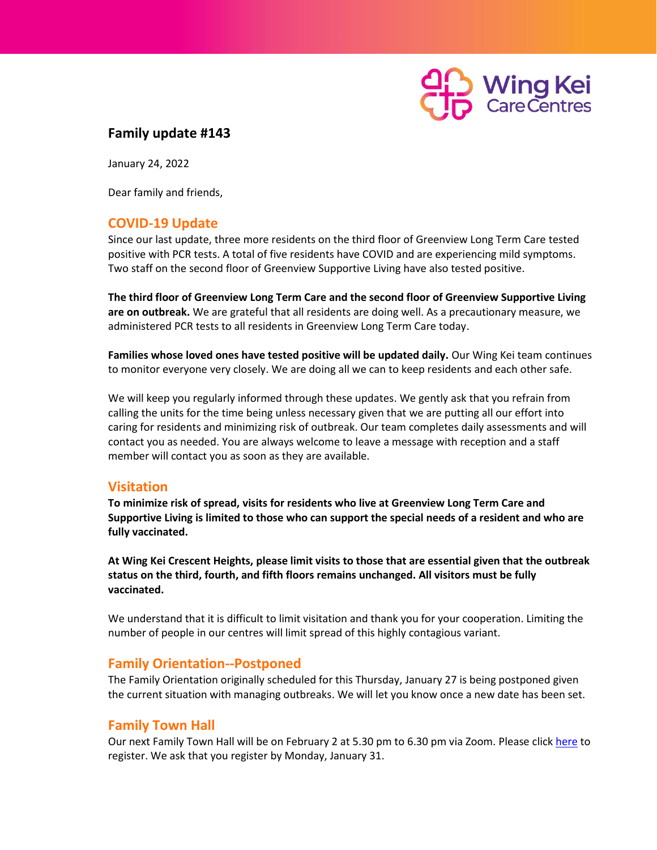

# **Family update #143**

January 24, 2022

Dear family and friends,

# **COVID-19 Update**

Since our last update, three more residents on the third floor of Greenview Long Term Care tested positive with PCR tests. A total of five residents have COVID and are experiencing mild symptoms. Two staff on the second floor of Greenview Supportive Living have also tested positive.

**The third floor of Greenview Long Term Care and the second floor of Greenview Supportive Living are on outbreak.** We are grateful that all residents are doing well. As a precautionary measure, we administered PCR tests to all residents in Greenview Long Term Care today.

**Families whose loved ones have tested positive will be updated daily.** Our Wing Kei team continues to monitor everyone very closely. We are doing all we can to keep residents and each other safe.

We will keep you regularly informed through these updates. We gently ask that you refrain from calling the units for the time being unless necessary given that we are putting all our effort into caring for residents and minimizing risk of outbreak. Our team completes daily assessments and will contact you as needed. You are always welcome to leave a message with reception and a staff member will contact you as soon as they are available.

### **Visitation**

**To minimize risk of spread, visits for residents who live at Greenview Long Term Care and Supportive Living is limited to those who can support the special needs of a resident and who are fully vaccinated.**

**At Wing Kei Crescent Heights, please limit visits to those that are essential given that the outbreak status on the third, fourth, and fifth floors remains unchanged. All visitors must be fully vaccinated.**

We understand that it is difficult to limit visitation and thank you for your cooperation. Limiting the number of people in our centres will limit spread of this highly contagious variant.

### **Family Orientation--Postponed**

The Family Orientation originally scheduled for this Thursday, January 27 is being postponed given the current situation with managing outbreaks. We will let you know once a new date has been set.

### **Family Town Hall**

Our next Family Town Hall will be on February 2 at 5.30 pm to 6.30 pm via Zoom. Please click [here](https://docs.google.com/forms/d/e/1FAIpQLSceR1IF34Uq-UgAq-xVdV2H0EEtbA7SJsiQL1n8oEWhspchYg/viewform?usp=sf_link) to register. We ask that you register by Monday, January 31.